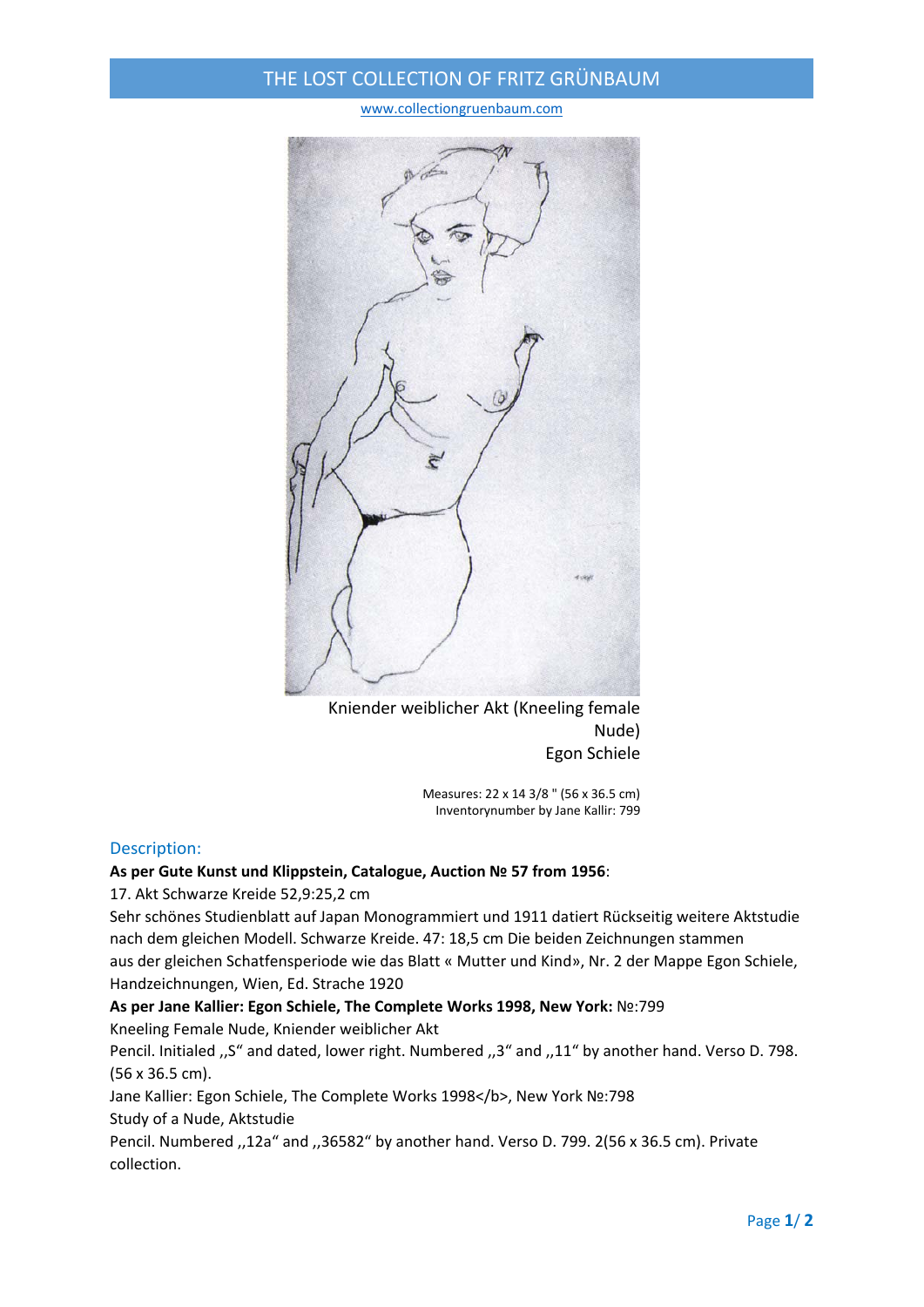# THE LOST COLLECTION OF FRITZ GRÜNBAUM

www.collectiongruenbaum.com



Kniender weiblicher Akt (Kneeling female Nude) Egon Schiele

> Measures: 22 x 14 3/8 " (56 x 36.5 cm) Inventorynumber by Jane Kallir: 799

#### Description:

#### **As per Gute Kunst und Klippstein, Catalogue, Auction № 57 from 1956**:

17. Akt Schwarze Kreide 52,9:25,2 cm

Sehr schönes Studienblatt auf Japan Monogrammiert und 1911 datiert Rückseitig weitere Aktstudie nach dem gleichen Modell. Schwarze Kreide. 47: 18,5 cm Die beiden Zeichnungen stammen aus der gleichen Schatfensperiode wie das Blatt « Mutter und Kind», Nr. 2 der Mappe Egon Schiele, Handzeichnungen, Wien, Ed. Strache 1920

**As per Jane Kallier: Egon Schiele, The Complete Works 1998, New York:** №:799

Kneeling Female Nude, Kniender weiblicher Akt

Pencil. Initialed ,,S" and dated, lower right. Numbered ,,3" and ,,11" by another hand. Verso D. 798. (56 x 36.5 cm).

Jane Kallier: Egon Schiele, The Complete Works 1998</b>, New York No:798

Study of a Nude, Aktstudie

Pencil. Numbered ,,12a" and ,,36582" by another hand. Verso D. 799. 2(56 x 36.5 cm). Private collection.